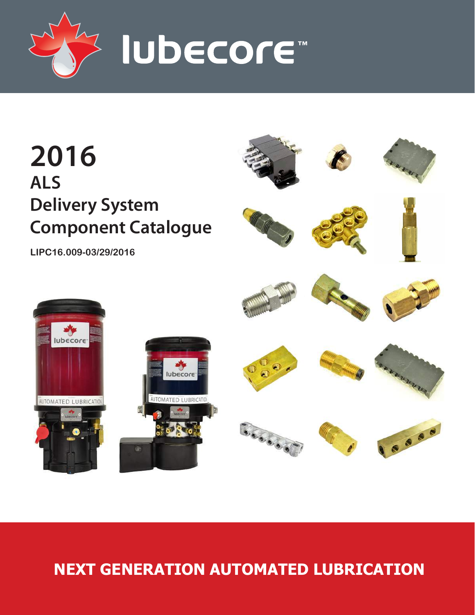



# **NEXT GENERATION AUTOMATED LUBRICATION**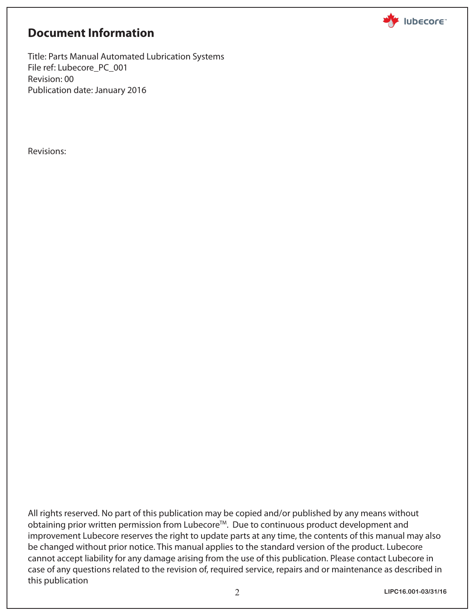

# **Document Information**

Title: Parts Manual Automated Lubrication Systems File ref: Lubecore\_PC\_001 Revision: 00 Publication date: January 2016

Revisions:

All rights reserved. No part of this publication may be copied and/or published by any means without obtaining prior written permission from Lubecore™. Due to continuous product development and improvement Lubecore reserves the right to update parts at any time, the contents of this manual may also be changed without prior notice. This manual applies to the standard version of the product. Lubecore cannot accept liability for any damage arising from the use of this publication. Please contact Lubecore in case of any questions related to the revision of, required service, repairs and or maintenance as described in this publication

**LIPC16.001-03/31/16**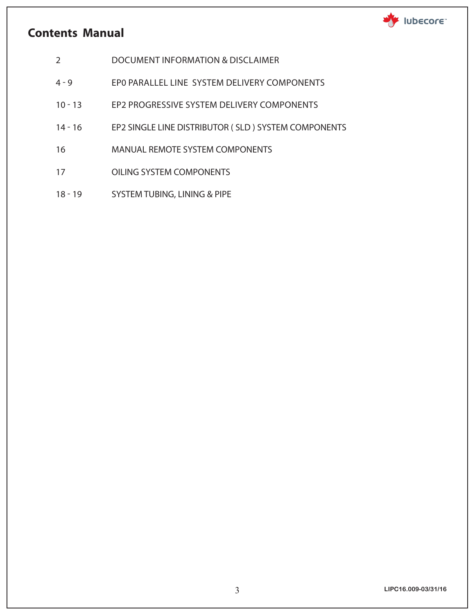# **Contents Manual**



- 2 DOCUMENT INFORMATION & DISCLAIMER
- 4 9 EP0 PARALLEL LINE SYSTEM DELIVERY COMPONENTS
- 10 13 EP2 PROGRESSIVE SYSTEM DELIVERY COMPONENTS
- 14 16 EP2 SINGLE LINE DISTRIBUTOR ( SLD ) SYSTEM COMPONENTS
- 16 MANUAL REMOTE SYSTEM COMPONENTS
- 17 OILING SYSTEM COMPONENTS
- 18 19 SYSTEM TUBING, LINING & PIPE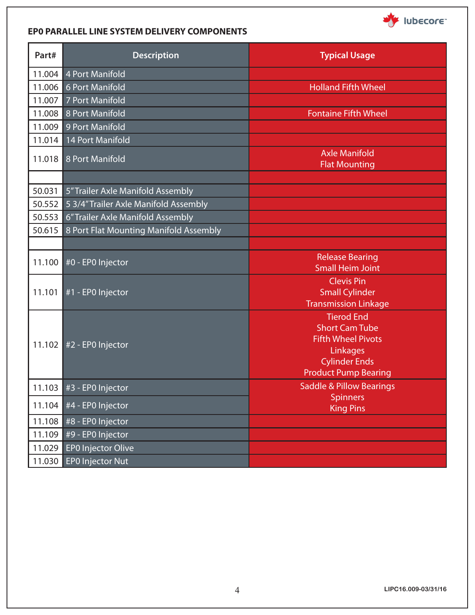

#### **EP0 PARALLEL LINE SYSTEM DELIVERY COMPONENTS**

| Part#  | <b>Description</b>                     | <b>Typical Usage</b>                                                                                                                       |
|--------|----------------------------------------|--------------------------------------------------------------------------------------------------------------------------------------------|
| 11.004 | <b>4 Port Manifold</b>                 |                                                                                                                                            |
| 11.006 | 6 Port Manifold                        | <b>Holland Fifth Wheel</b>                                                                                                                 |
| 11.007 | 7 Port Manifold                        |                                                                                                                                            |
| 11.008 | 8 Port Manifold                        | <b>Fontaine Fifth Wheel</b>                                                                                                                |
| 11.009 | 9 Port Manifold                        |                                                                                                                                            |
| 11.014 | 14 Port Manifold                       |                                                                                                                                            |
| 11.018 | 8 Port Manifold                        | <b>Axle Manifold</b><br><b>Flat Mounting</b>                                                                                               |
| 50.031 | 5" Trailer Axle Manifold Assembly      |                                                                                                                                            |
| 50.552 | 5 3/4" Trailer Axle Manifold Assembly  |                                                                                                                                            |
| 50.553 | 6" Trailer Axle Manifold Assembly      |                                                                                                                                            |
| 50.615 | 8 Port Flat Mounting Manifold Assembly |                                                                                                                                            |
|        |                                        |                                                                                                                                            |
| 11.100 | #0 - EP0 Injector                      | <b>Release Bearing</b><br><b>Small Heim Joint</b>                                                                                          |
| 11.101 | #1 - EPO Injector                      | <b>Clevis Pin</b><br><b>Small Cylinder</b><br><b>Transmission Linkage</b>                                                                  |
| 11.102 | #2 - EPO Injector                      | <b>Tierod End</b><br><b>Short Cam Tube</b><br><b>Fifth Wheel Pivots</b><br>Linkages<br><b>Cylinder Ends</b><br><b>Product Pump Bearing</b> |
|        | 11.103 $#3 - EPO$ Injector             | <b>Saddle &amp; Pillow Bearings</b>                                                                                                        |
| 11.104 | #4 - EP0 Injector                      | <b>Spinners</b><br><b>King Pins</b>                                                                                                        |
| 11.108 | #8 - EP0 Injector                      |                                                                                                                                            |
| 11.109 | #9 - EP0 Injector                      |                                                                                                                                            |
| 11.029 | EP0 Injector Olive                     |                                                                                                                                            |
| 11.030 | <b>EPO Injector Nut</b>                |                                                                                                                                            |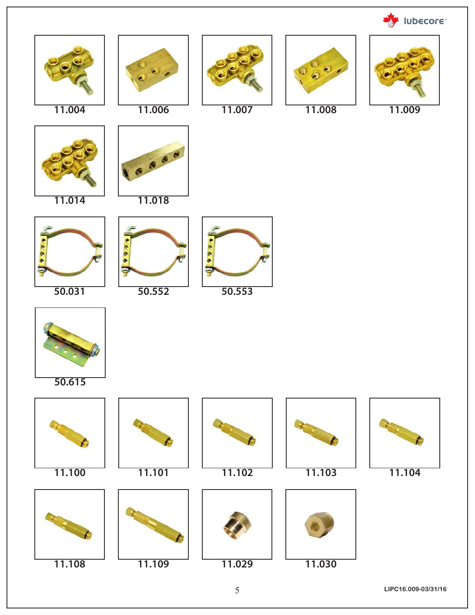

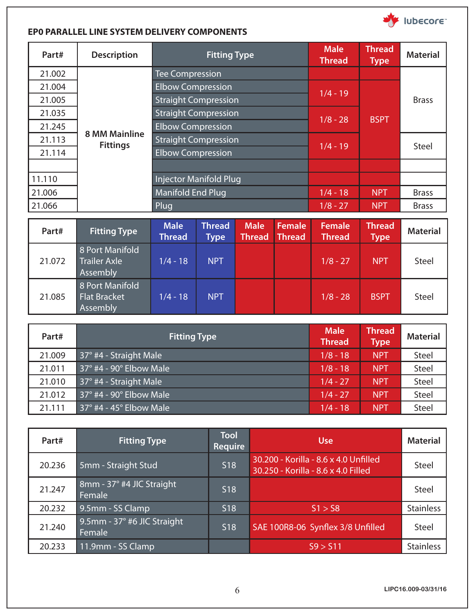

#### **EP0 PARALLEL LINE SYSTEM DELIVERY COMPONENTS**

| Part#  | <b>Description</b>   |                               | <b>Fitting Type</b>         |                              |                         | <b>Male</b><br><b>Thread</b> | <b>Thread</b><br><b>Type</b> | <b>Material</b> |
|--------|----------------------|-------------------------------|-----------------------------|------------------------------|-------------------------|------------------------------|------------------------------|-----------------|
| 21.002 |                      | <b>Tee Compression</b>        |                             |                              |                         |                              |                              |                 |
| 21.004 |                      | <b>Elbow Compression</b>      |                             |                              |                         |                              |                              |                 |
| 21.005 |                      | <b>Straight Compression</b>   |                             |                              |                         | $1/4 - 19$                   |                              | <b>Brass</b>    |
| 21.035 |                      | <b>Straight Compression</b>   |                             |                              |                         |                              |                              |                 |
| 21.245 |                      |                               | <b>Elbow Compression</b>    |                              |                         | $1/8 - 28$                   | <b>BSPT</b>                  |                 |
| 21.113 | <b>8 MM Mainline</b> |                               | <b>Straight Compression</b> |                              |                         |                              |                              |                 |
| 21.114 | <b>Fittings</b>      | <b>Elbow Compression</b>      |                             |                              |                         | $1/4 - 19$                   |                              | Steel           |
|        |                      |                               |                             |                              |                         |                              |                              |                 |
| 11.110 |                      | <b>Injector Manifold Plug</b> |                             |                              |                         |                              |                              |                 |
| 21.006 |                      | <b>Manifold End Plug</b>      |                             |                              |                         | $1/4 - 18$                   | <b>NPT</b>                   | <b>Brass</b>    |
| 21.066 |                      | Plug                          |                             |                              |                         | $1/8 - 27$                   | <b>NPT</b>                   | <b>Brass</b>    |
|        |                      |                               |                             |                              |                         |                              |                              |                 |
| Part#  | <b>Fitting Type</b>  | <b>Male</b><br><b>Thread</b>  | <b>Thread</b><br>Type       | <b>Male</b><br><b>Thread</b> | <b>Female</b><br>Thread | Female<br><b>Thread</b>      | <b>Thread</b><br><b>Type</b> | <b>Material</b> |
|        | 8 Port Manifold      |                               |                             |                              |                         |                              |                              |                 |

| 21.072 | <b>Trailer Axle</b><br>Assembly                    | $1/4 - 18$ | <b>NPT</b> |  | $1/8 - 27$ | <b>NPT</b>  | <b>Steel</b> |
|--------|----------------------------------------------------|------------|------------|--|------------|-------------|--------------|
| 21.085 | 8 Port Manifold<br><b>Flat Bracket</b><br>Assembly | $1/4 - 18$ | <b>NPT</b> |  | $1/8 - 28$ | <b>BSPT</b> | <b>Steel</b> |

| Part#  | <b>Fitting Type</b>                    | <b>Male</b><br><b>Thread</b> | <b>Thread</b><br><b>Type</b> | <b>Material</b> |
|--------|----------------------------------------|------------------------------|------------------------------|-----------------|
| 21.009 | 37° #4 - Straight Male                 | $1/8 - 18$                   | <b>NPT</b>                   | <b>Steel</b>    |
| 21.011 | $37^\circ$ #4 - 90 $^\circ$ Elbow Male | $1/8 - 18$                   | <b>NPT</b>                   | Steel           |
| 21.010 | 37° #4 - Straight Male                 | $1/4 - 27$                   | <b>NPT</b>                   | Steel           |
| 21.012 | 37° #4 - 90° Elbow Male                | $1/4 - 27$                   | <b>NPT</b>                   | <b>Steel</b>    |
| 21.111 | $37^\circ$ #4 - 45 $^\circ$ Elbow Male | $1/4 - 18$                   | <b>NPT</b>                   | Steel           |

| Part#  | <b>Fitting Type</b>                   | <b>Tool</b><br>Require | <b>Use</b>                                                                   | <b>Material</b>  |
|--------|---------------------------------------|------------------------|------------------------------------------------------------------------------|------------------|
| 20.236 | 5mm - Straight Stud                   | <b>S18</b>             | 30.200 - Korilla - 8.6 x 4.0 Unfilled<br>30.250 - Korilla - 8.6 x 4.0 Filled | <b>Steel</b>     |
| 21.247 | 8mm - 37° #4 JIC Straight<br>Female   | S <sub>18</sub>        |                                                                              | <b>Steel</b>     |
| 20.232 | 9.5mm - SS Clamp                      | S <sub>18</sub>        | 51 > 58                                                                      | <b>Stainless</b> |
| 21.240 | 9.5mm - 37° #6 JIC Straight<br>Female | S <sub>18</sub>        | SAE 100R8-06 Synflex 3/8 Unfilled                                            | <b>Steel</b>     |
| 20.233 | 11.9mm - SS Clamp                     |                        | S9 > S11                                                                     | <b>Stainless</b> |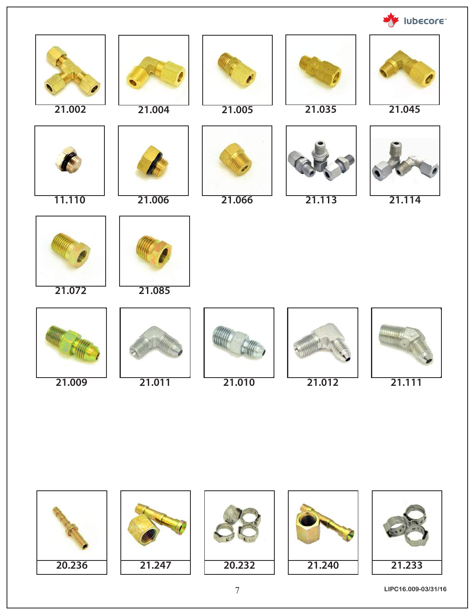**WE IUDECOFE** 





7 **LIPC16.009-03/31/16**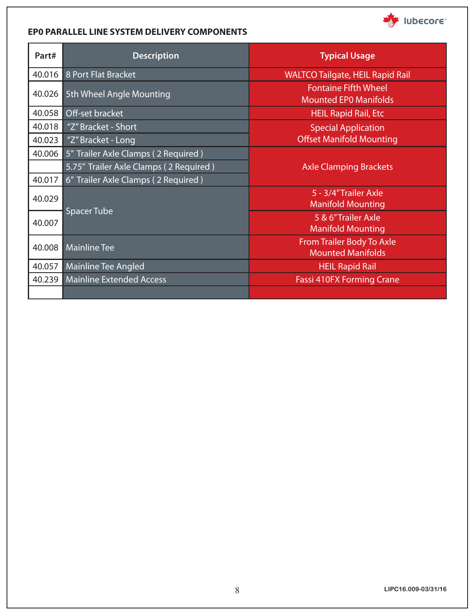#### **EP0 PARALLEL LINE SYSTEM DELIVERY COMPONENTS**

| Part#  | <b>Description</b>                     | <b>Typical Usage</b>                                        |  |  |
|--------|----------------------------------------|-------------------------------------------------------------|--|--|
| 40.016 | 8 Port Flat Bracket                    | <b>WALTCO Tailgate, HEIL Rapid Rail</b>                     |  |  |
| 40.026 | 5th Wheel Angle Mounting               | <b>Fontaine Fifth Wheel</b><br><b>Mounted EPO Manifolds</b> |  |  |
| 40.058 | Off-set bracket                        | <b>HEIL Rapid Rail, Etc</b>                                 |  |  |
| 40.018 | "Z" Bracket - Short                    | <b>Special Application</b>                                  |  |  |
| 40.023 | "Z" Bracket - Long                     | <b>Offset Manifold Mounting</b>                             |  |  |
| 40.006 | 5" Trailer Axle Clamps (2 Required)    |                                                             |  |  |
|        | 5.75" Trailer Axle Clamps (2 Required) | <b>Axle Clamping Brackets</b>                               |  |  |
| 40.017 | 6" Trailer Axle Clamps (2 Required)    |                                                             |  |  |
| 40.029 |                                        | 5 - 3/4" Trailer Axle<br><b>Manifold Mounting</b>           |  |  |
| 40.007 | <b>Spacer Tube</b>                     | 5 & 6"Trailer Axle<br><b>Manifold Mounting</b>              |  |  |
| 40.008 | <b>Mainline Tee</b>                    | From Trailer Body To Axle<br><b>Mounted Manifolds</b>       |  |  |
| 40.057 | Mainline Tee Angled                    | <b>HEIL Rapid Rail</b>                                      |  |  |
|        | 40.239 Mainline Extended Access        | <b>Fassi 410FX Forming Crane</b>                            |  |  |
|        |                                        |                                                             |  |  |

Ubecore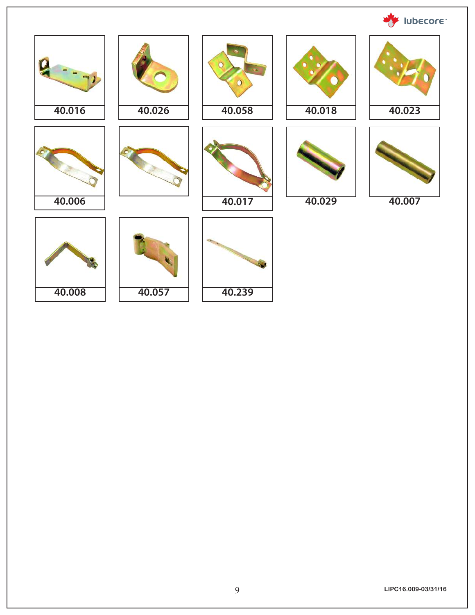**WE IUDECOFE** 

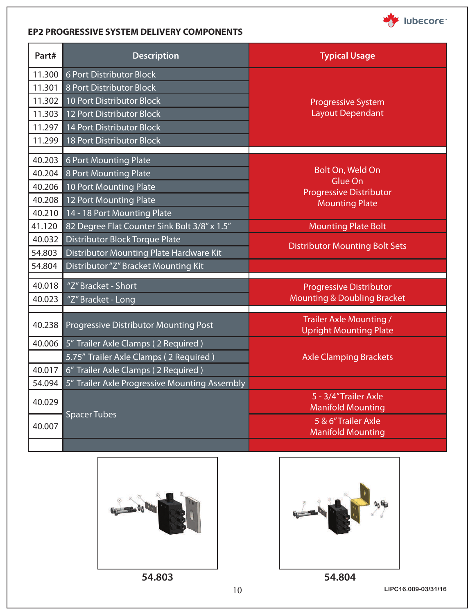

#### **EP2 PROGRESSIVE SYSTEM DELIVERY COMPONENTS**

| Part#  | <b>Description</b>                            | <b>Typical Usage</b>                                            |
|--------|-----------------------------------------------|-----------------------------------------------------------------|
| 11.300 | 6 Port Distributor Block                      |                                                                 |
| 11.301 | 8 Port Distributor Block                      |                                                                 |
| 11.302 | 10 Port Distributor Block                     | <b>Progressive System</b>                                       |
| 11.303 | 12 Port Distributor Block                     | <b>Layout Dependant</b>                                         |
| 11.297 | 14 Port Distributor Block                     |                                                                 |
| 11.299 | <b>18 Port Distributor Block</b>              |                                                                 |
| 40.203 | 6 Port Mounting Plate                         |                                                                 |
| 40.204 | 8 Port Mounting Plate                         | Bolt On, Weld On                                                |
| 40.206 | <b>10 Port Mounting Plate</b>                 | Glue On                                                         |
| 40.208 | 12 Port Mounting Plate                        | <b>Progressive Distributor</b>                                  |
| 40.210 | 14 - 18 Port Mounting Plate                   | <b>Mounting Plate</b>                                           |
| 41.120 | 82 Degree Flat Counter Sink Bolt 3/8" x 1.5"  | <b>Mounting Plate Bolt</b>                                      |
| 40.032 | <b>Distributor Block Torque Plate</b>         |                                                                 |
| 54.803 | Distributor Mounting Plate Hardware Kit       | <b>Distributor Mounting Bolt Sets</b>                           |
| 54.804 | Distributor "Z" Bracket Mounting Kit          |                                                                 |
| 40.018 | "Z" Bracket - Short                           | <b>Progressive Distributor</b>                                  |
| 40.023 | "Z" Bracket - Long                            | <b>Mounting &amp; Doubling Bracket</b>                          |
|        |                                               |                                                                 |
| 40.238 | <b>Progressive Distributor Mounting Post</b>  | <b>Trailer Axle Mounting /</b><br><b>Upright Mounting Plate</b> |
| 40.006 | 5" Trailer Axle Clamps (2 Required)           |                                                                 |
|        | 5.75" Trailer Axle Clamps (2 Required)        | <b>Axle Clamping Brackets</b>                                   |
| 40.017 | 6" Trailer Axle Clamps (2 Required)           |                                                                 |
| 54.094 | 5" Trailer Axle Progressive Mounting Assembly |                                                                 |
| 40.029 |                                               | 5 - 3/4" Trailer Axle                                           |
|        | <b>Spacer Tubes</b>                           | <b>Manifold Mounting</b>                                        |
| 40.007 |                                               | 5 & 6"Trailer Axle<br><b>Manifold Mounting</b>                  |
|        |                                               |                                                                 |



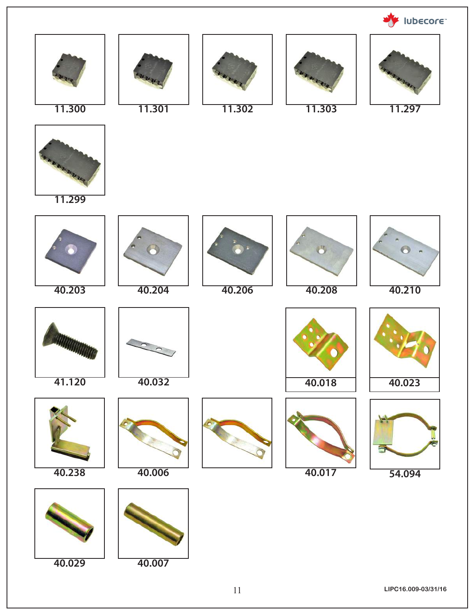

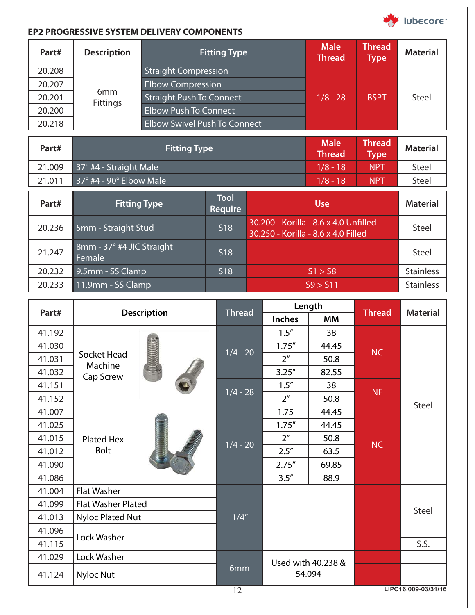

### **EP2 PROGRESSIVE SYSTEM DELIVERY COMPONENTS**

| Part#  | <b>Description</b>     | <b>Fitting Type</b>                 | <b>Male</b><br><b>Thread</b> | <b>Thread</b><br>${\sf Type}^{\dagger}$ | <b>Material</b> |
|--------|------------------------|-------------------------------------|------------------------------|-----------------------------------------|-----------------|
| 20.208 |                        | <b>Straight Compression</b>         |                              |                                         |                 |
| 20.207 |                        | <b>Elbow Compression</b>            |                              |                                         |                 |
| 20.201 | 6mm<br><b>Fittings</b> | <b>Straight Push To Connect</b>     | $1/8 - 28$                   | <b>BSPT</b>                             | <b>Steel</b>    |
| 20.200 |                        | <b>Elbow Push To Connect</b>        |                              |                                         |                 |
| 20.218 |                        | <b>Elbow Swivel Push To Connect</b> |                              |                                         |                 |

| Part#  | <b>Fitting Type</b>                 |                               |                                                                              | <b>Male</b><br><b>Thread</b> | <b>Thread</b><br><b>Type</b> | <b>Material</b>  |
|--------|-------------------------------------|-------------------------------|------------------------------------------------------------------------------|------------------------------|------------------------------|------------------|
| 21.009 | 37° #4 - Straight Male              |                               |                                                                              | $1/8 - 18$                   | <b>NPT</b>                   | Steel            |
| 21.011 | 37° #4 - 90° Elbow Male             |                               |                                                                              | $1/8 - 18$                   | <b>NPT</b>                   | Steel            |
| Part#  | <b>Fitting Type</b>                 | <b>Tool</b><br><b>Require</b> | <b>Use</b>                                                                   |                              |                              | <b>Material</b>  |
| 20.236 | 5mm - Straight Stud                 | S <sub>18</sub>               | 30.200 - Korilla - 8.6 x 4.0 Unfilled<br>30.250 - Korilla - 8.6 x 4.0 Filled |                              |                              | <b>Steel</b>     |
| 21.247 | 8mm - 37° #4 JIC Straight<br>Female | S <sub>18</sub>               |                                                                              |                              | <b>Steel</b>                 |                  |
| 20.232 | 9.5mm - SS Clamp                    | S <sub>18</sub>               | S1 > S8                                                                      |                              | <b>Stainless</b>             |                  |
| 20.233 | 11.9mm - SS Clamp                   |                               |                                                                              | S9 > S11                     |                              | <b>Stainless</b> |

| Part#  |                           | <b>Description</b> |               |                | Length             |               |                     |  |        |       |  |  |  |            |                |
|--------|---------------------------|--------------------|---------------|----------------|--------------------|---------------|---------------------|--|--------|-------|--|--|--|------------|----------------|
|        |                           |                    | <b>Thread</b> | <b>Inches</b>  | МM                 | <b>Thread</b> | <b>Material</b>     |  |        |       |  |  |  |            |                |
| 41.192 |                           |                    |               | 1.5''          | 38                 |               |                     |  |        |       |  |  |  |            |                |
| 41.030 |                           |                    |               | 1.75''         | 44.45              |               |                     |  |        |       |  |  |  |            |                |
| 41.031 | Socket Head               |                    | $1/4 - 20$    | 2 <sup>n</sup> | 50.8               | <b>NC</b>     |                     |  |        |       |  |  |  |            |                |
| 41.032 | Machine<br>Cap Screw      |                    |               | 3.25''         | 82.55              |               |                     |  |        |       |  |  |  |            |                |
| 41.151 |                           |                    |               | 1.5''          | 38                 |               |                     |  |        |       |  |  |  |            |                |
| 41.152 |                           |                    | $1/4 - 28$    | 2 <sup>n</sup> | 50.8               | <b>NF</b>     |                     |  |        |       |  |  |  |            |                |
| 41.007 |                           |                    |               | 1.75           | 44.45              |               | Steel               |  |        |       |  |  |  |            |                |
| 41.025 |                           |                    |               |                |                    |               |                     |  | 1.75'' | 44.45 |  |  |  |            |                |
| 41.015 | Plated Hex                |                    |               |                |                    |               |                     |  |        |       |  |  |  | $1/4 - 20$ | 2 <sup>n</sup> |
| 41.012 | <b>Bolt</b>               |                    |               |                |                    | 2.5''         | 63.5                |  |        |       |  |  |  |            |                |
| 41.090 |                           |                    |               |                |                    | 2.75''        | 69.85               |  |        |       |  |  |  |            |                |
| 41.086 |                           |                    |               | 3.5''          | 88.9               |               |                     |  |        |       |  |  |  |            |                |
| 41.004 | <b>Flat Washer</b>        |                    |               |                |                    |               |                     |  |        |       |  |  |  |            |                |
| 41.099 | <b>Flat Washer Plated</b> |                    |               |                |                    |               | <b>Steel</b>        |  |        |       |  |  |  |            |                |
| 41.013 | <b>Nyloc Plated Nut</b>   |                    | 1/4''         |                |                    |               |                     |  |        |       |  |  |  |            |                |
| 41.096 |                           |                    |               |                |                    |               |                     |  |        |       |  |  |  |            |                |
| 41.115 | Lock Washer               |                    |               |                |                    |               | S.S.                |  |        |       |  |  |  |            |                |
| 41.029 | Lock Washer               |                    |               |                | Used with 40.238 & |               |                     |  |        |       |  |  |  |            |                |
| 41.124 | <b>Nyloc Nut</b>          |                    | 6mm           |                | 54.094             |               |                     |  |        |       |  |  |  |            |                |
|        |                           |                    | 12            |                |                    |               | LIPC16.009-03/31/16 |  |        |       |  |  |  |            |                |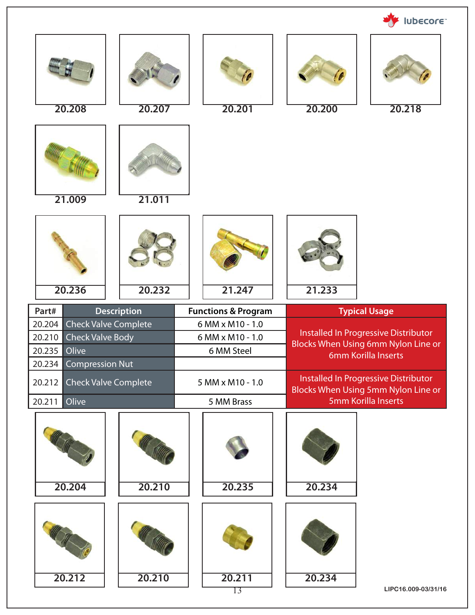|                                                     |                             |                                |        | lubecore <sup>®</sup>                                                       |
|-----------------------------------------------------|-----------------------------|--------------------------------|--------|-----------------------------------------------------------------------------|
|                                                     |                             |                                |        |                                                                             |
| 20.208                                              | 20.207                      | 20.201                         | 20.200 | 20.218                                                                      |
|                                                     |                             |                                |        |                                                                             |
| 21.009                                              | 21.011                      |                                |        |                                                                             |
|                                                     |                             |                                |        |                                                                             |
| 20.236                                              | 20.232                      | 21.247                         | 21.233 |                                                                             |
|                                                     |                             |                                |        |                                                                             |
| Part#                                               | <b>Description</b>          | <b>Functions &amp; Program</b> |        | <b>Typical Usage</b>                                                        |
| 20.204                                              | Check Valve Complete        | 6 MM x M10 - 1.0               |        |                                                                             |
| <b>Check Valve Body</b><br>20.210                   |                             | 6 MM x M10 - 1.0               |        | Installed In Progressive Distributor<br>Blocks When Using 6mm Nylon Line or |
| 20.235<br>Olive<br>20.234<br><b>Compression Nut</b> |                             | 6 MM Steel                     |        | 6mm Korilla Inserts                                                         |
| 20.212                                              | <b>Check Valve Complete</b> | 5 MM x M10 - 1.0               |        | Installed In Progressive Distributor                                        |
| 20.211<br>Olive                                     |                             | 5 MM Brass                     |        | Blocks When Using 5mm Nylon Line or<br>5mm Korilla Inserts                  |
| 20.204                                              | 20.210                      | 20.235                         | 20.234 |                                                                             |
| 20.212                                              | 20.210                      | 20.211                         | 20.234 |                                                                             |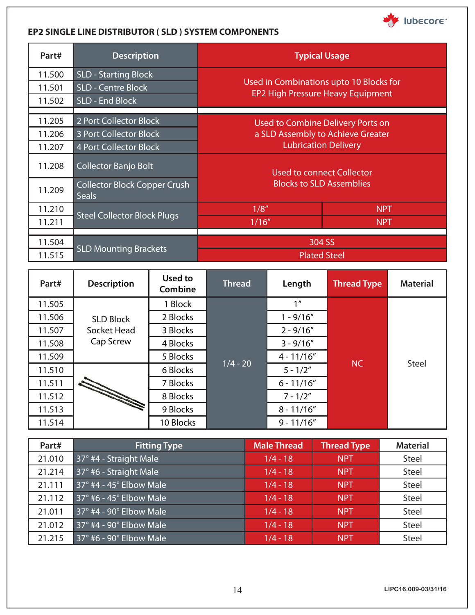

### **EP2 SINGLE LINE DISTRIBUTOR ( SLD ) SYSTEM COMPONENTS**

| Part#  | <b>Description</b>                                  | <b>Typical Usage</b>                                                                                  |            |  |
|--------|-----------------------------------------------------|-------------------------------------------------------------------------------------------------------|------------|--|
| 11.500 | <b>SLD - Starting Block</b>                         |                                                                                                       |            |  |
| 11.501 | <b>SLD - Centre Block</b>                           | Used in Combinations upto 10 Blocks for<br>EP2 High Pressure Heavy Equipment                          |            |  |
| 11.502 | SLD - End Block                                     |                                                                                                       |            |  |
|        |                                                     |                                                                                                       |            |  |
| 11.205 | 2 Port Collector Block                              | Used to Combine Delivery Ports on<br>a SLD Assembly to Achieve Greater<br><b>Lubrication Delivery</b> |            |  |
| 11.206 | <b>3 Port Collector Block</b>                       |                                                                                                       |            |  |
| 11.207 | <b>4 Port Collector Block</b>                       |                                                                                                       |            |  |
| 11.208 | <b>Collector Banjo Bolt</b>                         | Used to connect Collector<br><b>Blocks to SLD Assemblies</b>                                          |            |  |
| 11.209 | <b>Collector Block Copper Crush</b><br><b>Seals</b> |                                                                                                       |            |  |
| 11.210 |                                                     | 1/8''                                                                                                 | <b>NPT</b> |  |
| 11.211 | <b>Steel Collector Block Plugs</b>                  | 1/16''                                                                                                | <b>NPT</b> |  |
|        |                                                     |                                                                                                       |            |  |
| 11.504 | <b>SLD Mounting Brackets</b>                        | 304 SS                                                                                                |            |  |
| 11.515 |                                                     | <b>Plated Steel</b>                                                                                   |            |  |

| Part#  | <b>Description</b>                                                                                                                                                                                                                   | Used to<br>Combine | <b>Thread</b> | Length          | <b>Thread Type</b> | <b>Material</b> |
|--------|--------------------------------------------------------------------------------------------------------------------------------------------------------------------------------------------------------------------------------------|--------------------|---------------|-----------------|--------------------|-----------------|
| 11.505 |                                                                                                                                                                                                                                      | 1 Block            |               | 1 <sup>''</sup> |                    |                 |
| 11.506 | <b>SLD Block</b>                                                                                                                                                                                                                     | 2 Blocks           |               | $1 - 9/16''$    |                    |                 |
| 11.507 | Socket Head                                                                                                                                                                                                                          | 3 Blocks           |               | $2 - 9/16''$    |                    |                 |
| 11.508 | Cap Screw                                                                                                                                                                                                                            | 4 Blocks           | $1/4 - 20$    | $3 - 9/16''$    |                    |                 |
| 11.509 |                                                                                                                                                                                                                                      | 5 Blocks           |               | $4 - 11/16''$   |                    |                 |
| 11.510 |                                                                                                                                                                                                                                      | 6 Blocks           |               | $5 - 1/2"$      | <b>NC</b>          | Steel           |
| 11.511 | <b>Recording to the Communication of the Communication of the Communication of the Communication of the Communication of the Communication of the Communication of the Communication of the Communication of the Communication o</b> | 7 Blocks           |               | $6 - 11/16''$   |                    |                 |
| 11.512 |                                                                                                                                                                                                                                      | 8 Blocks           |               | $7 - 1/2"$      |                    |                 |
| 11.513 |                                                                                                                                                                                                                                      | 9 Blocks           |               | $8 - 11/16"$    |                    |                 |
| 11.514 |                                                                                                                                                                                                                                      | 10 Blocks          |               | $9 - 11/16''$   |                    |                 |

| Part#  | <b>Fitting Type</b>                    | <b>Male Thread</b> | <b>Thread Type</b> | <b>Material</b> |
|--------|----------------------------------------|--------------------|--------------------|-----------------|
| 21.010 | 37° #4 - Straight Male                 | $1/4 - 18$         | <b>NPT</b>         | Steel           |
| 21.214 | 37° #6 - Straight Male                 | $1/4 - 18$         | <b>NPT</b>         | <b>Steel</b>    |
| 21.111 | $37^\circ$ #4 - 45 $^\circ$ Elbow Male | $1/4 - 18$         | <b>NPT</b>         | <b>Steel</b>    |
| 21.112 | $37^\circ$ #6 - 45 $^\circ$ Elbow Male | $1/4 - 18$         | <b>NPT</b>         | <b>Steel</b>    |
| 21.011 | $37^\circ$ #4 - 90 $^\circ$ Elbow Male | $1/4 - 18$         | <b>NPT</b>         | <b>Steel</b>    |
| 21.012 | 37° #4 - 90° Elbow Male                | $1/4 - 18$         | <b>NPT</b>         | <b>Steel</b>    |
| 21.215 | 37° #6 - 90° Elbow Male                | $1/4 - 18$         | <b>NPT</b>         | <b>Steel</b>    |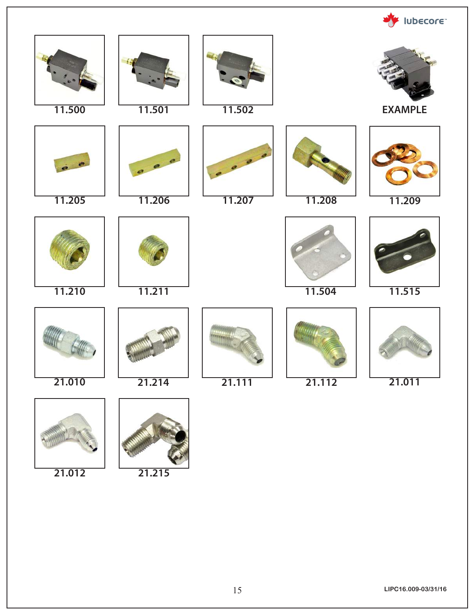

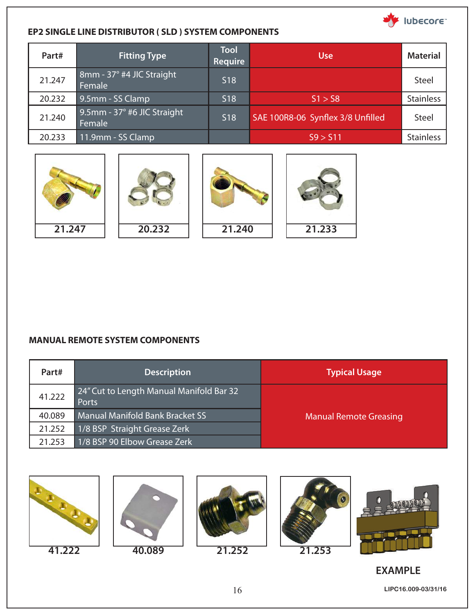

### **EP2 SINGLE LINE DISTRIBUTOR ( SLD ) SYSTEM COMPONENTS**

| Part#  | <b>Fitting Type</b>                   | <b>Tool</b><br><b>Require</b> | <b>Use</b>                        | <b>Material</b>  |
|--------|---------------------------------------|-------------------------------|-----------------------------------|------------------|
| 21.247 | 8mm - 37° #4 JIC Straight<br>Female   | S <sub>18</sub>               |                                   | Steel            |
| 20.232 | 9.5mm - SS Clamp                      | <b>S18</b>                    | S1 > S8                           | <b>Stainless</b> |
| 21.240 | 9.5mm - 37° #6 JIC Straight<br>Female | <b>S18</b>                    | SAE 100R8-06 Synflex 3/8 Unfilled | <b>Steel</b>     |
| 20.233 | 11.9mm - SS Clamp                     |                               | S9 > S11                          | <b>Stainless</b> |









#### **MANUAL REMOTE SYSTEM COMPONENTS**

| Part#  | <b>Description</b>                                | <b>Typical Usage</b>          |
|--------|---------------------------------------------------|-------------------------------|
| 41.222 | 24" Cut to Length Manual Manifold Bar 32<br>Ports |                               |
| 40.089 | <b>Manual Manifold Bank Bracket SS</b>            | <b>Manual Remote Greasing</b> |
| 21.252 | 1/8 BSP Straight Grease Zerk                      |                               |
| 21.253 | 1/8 BSP 90 Elbow Grease Zerk                      |                               |











## **EXAMPLE**

16 **LIPC16.009-03/31/16**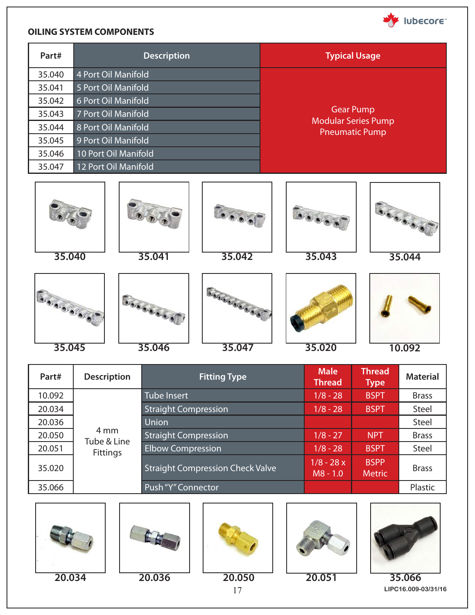

#### **OILING SYSTEM COMPONENTS**

| Part#  | <b>Description</b>   | <b>Typical Usage</b>                                |  |  |
|--------|----------------------|-----------------------------------------------------|--|--|
| 35.040 | 4 Port Oil Manifold  |                                                     |  |  |
| 35.041 | 5 Port Oil Manifold  |                                                     |  |  |
| 35.042 | 6 Port Oil Manifold  |                                                     |  |  |
| 35.043 | 7 Port Oil Manifold  | <b>Gear Pump</b>                                    |  |  |
| 35.044 | 8 Port Oil Manifold  | <b>Modular Series Pump</b><br><b>Pneumatic Pump</b> |  |  |
| 35.045 | 9 Port Oil Manifold  |                                                     |  |  |
| 35.046 | 10 Port Oil Manifold |                                                     |  |  |
| 35.047 | 12 Port Oil Manifold |                                                     |  |  |













**Goodbook** 





**35.045 35.046 35.047 35.020 10.092**



| Part#  | <b>Description</b>                     | <b>Fitting Type</b>                     | <b>Male</b><br><b>Thread</b> | <b>Thread</b><br><b>Type</b> | <b>Material</b> |
|--------|----------------------------------------|-----------------------------------------|------------------------------|------------------------------|-----------------|
| 10.092 | 4 mm<br>Tube & Line<br><b>Fittings</b> | <b>Tube Insert</b>                      | $1/8 - 28$                   | <b>BSPT</b>                  | <b>Brass</b>    |
| 20.034 |                                        | <b>Straight Compression</b>             | $1/8 - 28$                   | <b>BSPT</b>                  | Steel           |
| 20.036 |                                        | Union                                   |                              |                              | <b>Steel</b>    |
| 20.050 |                                        | <b>Straight Compression</b>             | $1/8 - 27$                   | <b>NPT</b>                   | <b>Brass</b>    |
| 20.051 |                                        | <b>Elbow Compression</b>                | $1/8 - 28$                   | <b>BSPT</b>                  | Steel           |
| 35.020 |                                        | <b>Straight Compression Check Valve</b> | $1/8 - 28x$<br>$MS - 1.0$    | <b>BSPP</b><br><b>Metric</b> | <b>Brass</b>    |
| 35.066 |                                        | Push "Y" Connector                      |                              |                              | Plastic         |











17 **LIPC16.009-03/31/16**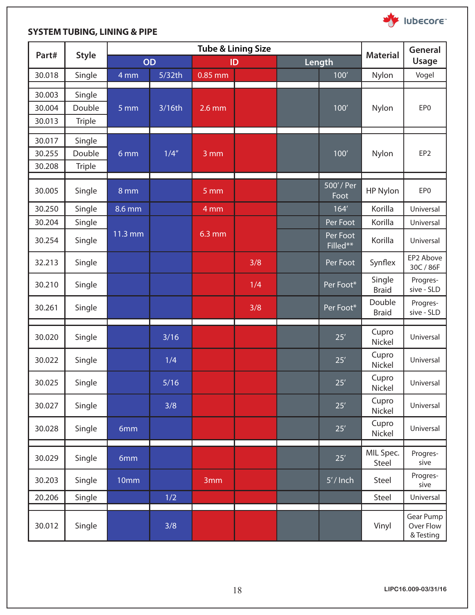

## **SYSTEM TUBING, LINING & PIPE**

|        | <b>Style</b>  | <b>Tube &amp; Lining Size</b> |        |                   |     |  |                      | <b>General</b>         |                                     |
|--------|---------------|-------------------------------|--------|-------------------|-----|--|----------------------|------------------------|-------------------------------------|
| Part#  |               | <b>OD</b>                     |        | ID                |     |  | Length               | <b>Material</b>        |                                     |
| 30.018 | Single        | 4 mm                          | 5/32th | $0.85$ mm         |     |  | $100'$               | Nylon                  | Vogel                               |
| 30.003 | Single        |                               |        |                   |     |  |                      |                        |                                     |
| 30.004 | Double        | $5 \,\mathrm{mm}$             | 3/16th | $2.6$ mm          |     |  | 100'                 | Nylon                  | EP <sub>0</sub>                     |
| 30.013 | <b>Triple</b> |                               |        |                   |     |  |                      |                        |                                     |
| 30.017 | Single        |                               |        |                   |     |  |                      |                        |                                     |
| 30.255 | Double        | 6 mm                          | 1/4''  | $3 \,\mathrm{mm}$ |     |  | 100'                 | Nylon                  | EP <sub>2</sub>                     |
| 30.208 | <b>Triple</b> |                               |        |                   |     |  |                      |                        |                                     |
| 30.005 | Single        | 8 mm                          |        | 5 mm              |     |  | 500'/Per<br>Foot     | HP Nylon               | EP <sub>0</sub>                     |
| 30.250 | Single        | $8.6 \,\mathrm{mm}$           |        | 4mm               |     |  | 164'                 | Korilla                | Universal                           |
| 30.204 | Single        |                               |        |                   |     |  | Per Foot             | Korilla                | Universal                           |
| 30.254 | Single        | $\overline{11.3}$ mm          |        | 6.3 mm            |     |  | Per Foot<br>Filled** | Korilla                | Universal                           |
| 32.213 | Single        |                               |        |                   | 3/8 |  | Per Foot             | Synflex                | EP2 Above<br>30C / 86F              |
| 30.210 | Single        |                               |        |                   | 1/4 |  | Per Foot*            | Single<br><b>Braid</b> | Progres-<br>sive - SLD              |
| 30.261 | Single        |                               |        |                   | 3/8 |  | Per Foot*            | Double<br><b>Braid</b> | Progres-<br>sive - SLD              |
| 30.020 | Single        |                               | $3/16$ |                   |     |  | $25'$                | Cupro<br>Nickel        | Universal                           |
| 30.022 | Single        |                               | 1/4    |                   |     |  | 25'                  | Cupro<br>Nickel        | Universal                           |
| 30.025 | Single        |                               | $5/16$ |                   |     |  | 25'                  | Cupro<br>Nickel        | Universal                           |
| 30.027 | Single        |                               | 3/8    |                   |     |  | 25'                  | Cupro<br>Nickel        | Universal                           |
| 30.028 | Single        | 6mm                           |        |                   |     |  | $25'$                | Cupro<br>Nickel        | Universal                           |
| 30.029 | Single        | 6mm                           |        |                   |     |  | $25'$                | MIL Spec.<br>Steel     | Progres-<br>sive                    |
| 30.203 | Single        | 10mm                          |        | 3mm               |     |  | $5'/$ Inch           | Steel                  | Progres-<br>sive                    |
| 20.206 | Single        |                               | 1/2    |                   |     |  |                      | Steel                  | Universal                           |
| 30.012 | Single        |                               | 3/8    |                   |     |  |                      | Vinyl                  | Gear Pump<br>Over Flow<br>& Testing |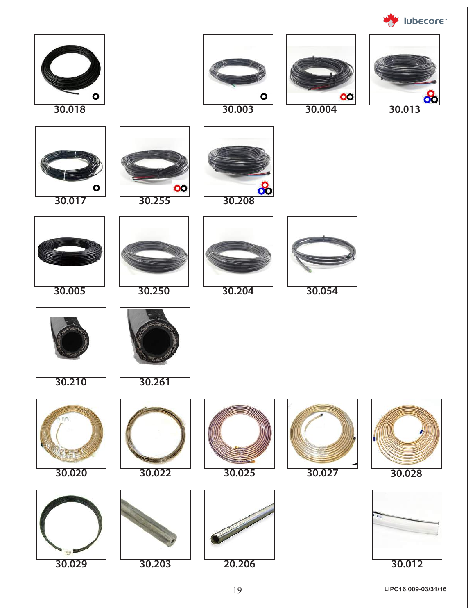**WE IUDECOTE**